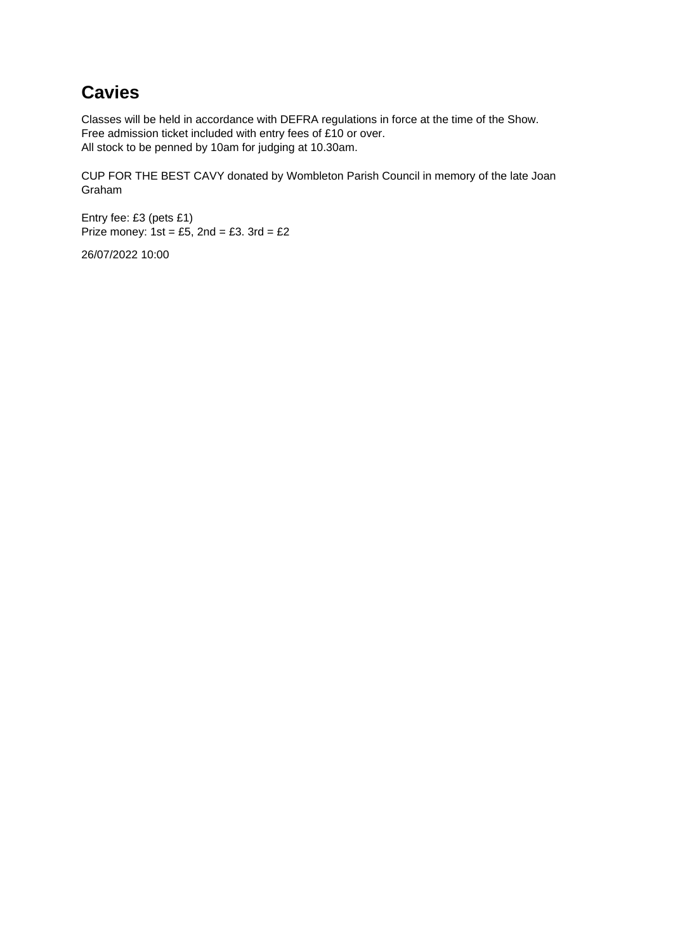#### **Cavies**

Classes will be held in accordance with DEFRA regulations in force at the time of the Show. Free admission ticket included with entry fees of £10 or over. All stock to be penned by 10am for judging at 10.30am.

CUP FOR THE BEST CAVY donated by Wombleton Parish Council in memory of the late Joan Graham

Entry fee: £3 (pets £1) Prize money:  $1st = £5$ ,  $2nd = £3$ .  $3rd = £2$ 

26/07/2022 10:00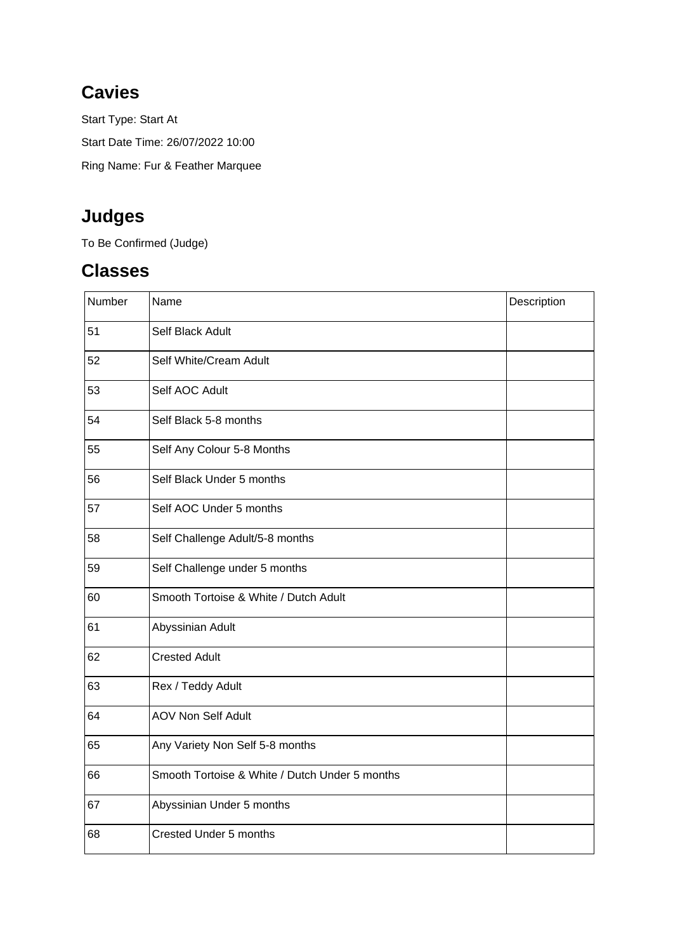## **Cavies**

Start Type: Start At Start Date Time: 26/07/2022 10:00 Ring Name: Fur & Feather Marquee

# **Judges**

To Be Confirmed (Judge)

#### **Classes**

| Number | Name                                           | Description |
|--------|------------------------------------------------|-------------|
| 51     | Self Black Adult                               |             |
| 52     | Self White/Cream Adult                         |             |
| 53     | Self AOC Adult                                 |             |
| 54     | Self Black 5-8 months                          |             |
| 55     | Self Any Colour 5-8 Months                     |             |
| 56     | Self Black Under 5 months                      |             |
| 57     | Self AOC Under 5 months                        |             |
| 58     | Self Challenge Adult/5-8 months                |             |
| 59     | Self Challenge under 5 months                  |             |
| 60     | Smooth Tortoise & White / Dutch Adult          |             |
| 61     | Abyssinian Adult                               |             |
| 62     | <b>Crested Adult</b>                           |             |
| 63     | Rex / Teddy Adult                              |             |
| 64     | <b>AOV Non Self Adult</b>                      |             |
| 65     | Any Variety Non Self 5-8 months                |             |
| 66     | Smooth Tortoise & White / Dutch Under 5 months |             |
| 67     | Abyssinian Under 5 months                      |             |
| 68     | Crested Under 5 months                         |             |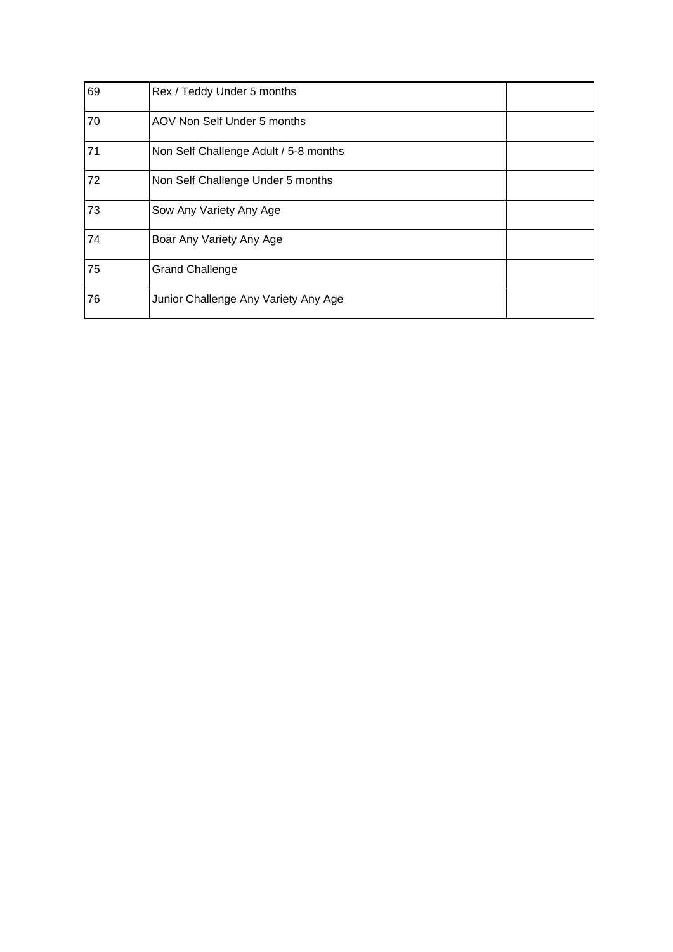| 69 | Rex / Teddy Under 5 months            |  |
|----|---------------------------------------|--|
| 70 | AOV Non Self Under 5 months           |  |
| 71 | Non Self Challenge Adult / 5-8 months |  |
| 72 | Non Self Challenge Under 5 months     |  |
| 73 | Sow Any Variety Any Age               |  |
| 74 | Boar Any Variety Any Age              |  |
| 75 | <b>Grand Challenge</b>                |  |
| 76 | Junior Challenge Any Variety Any Age  |  |